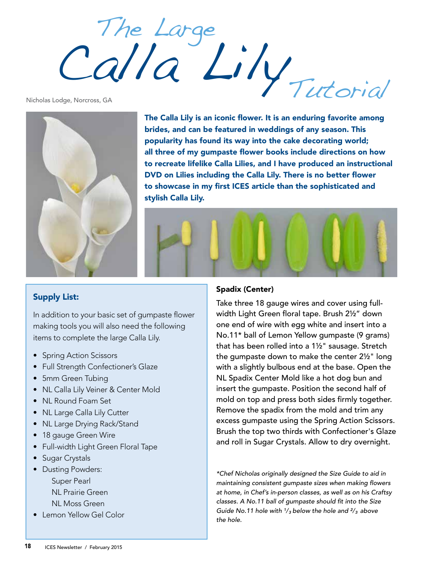Tutorial The Large Calla Lily

Nicholas Lodge, Norcross, GA



The Calla Lily is an iconic flower. It is an enduring favorite among brides, and can be featured in weddings of any season. This popularity has found its way into the cake decorating world; all three of my gumpaste flower books include directions on how to recreate lifelike Calla Lilies, and I have produced an instructional DVD on Lilies including the Calla Lily. There is no better flower to showcase in my first ICES article than the sophisticated and stylish Calla Lily.



## Supply List:

In addition to your basic set of gumpaste flower making tools you will also need the following items to complete the large Calla Lily.

- Spring Action Scissors
- Full Strength Confectioner's Glaze
- 5mm Green Tubing
- NL Calla Lily Veiner & Center Mold
- NL Round Foam Set
- NL Large Calla Lily Cutter
- NL Large Drying Rack/Stand
- 18 gauge Green Wire
- Full-width Light Green Floral Tape
- Sugar Crystals
- Dusting Powders:
	- Super Pearl
	- NL Prairie Green
	- NL Moss Green
- Lemon Yellow Gel Color

## Spadix (Center)

Take three 18 gauge wires and cover using fullwidth Light Green floral tape. Brush 2½" down one end of wire with egg white and insert into a No.11\* ball of Lemon Yellow gumpaste (9 grams) that has been rolled into a 1½" sausage. Stretch the gumpaste down to make the center 2½" long with a slightly bulbous end at the base. Open the NL Spadix Center Mold like a hot dog bun and insert the gumpaste. Position the second half of mold on top and press both sides firmly together. Remove the spadix from the mold and trim any excess gumpaste using the Spring Action Scissors. Brush the top two thirds with Confectioner's Glaze and roll in Sugar Crystals. Allow to dry overnight.

*\*Chef Nicholas originally designed the Size Guide to aid in*  maintaining consistent gumpaste sizes when making flowers *at home, in Chef's in-person classes, as well as on his Craftsy*  classes. A No.11 ball of gumpaste should fit into the Size *Guide No.11 hole with ¹/³ below the hole and ²/³ above the hole.*